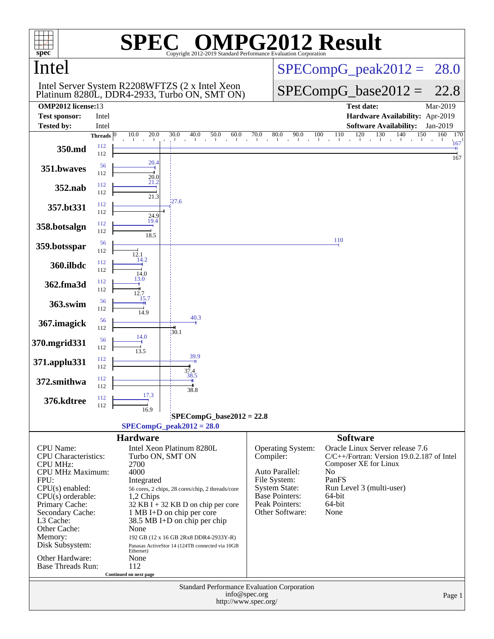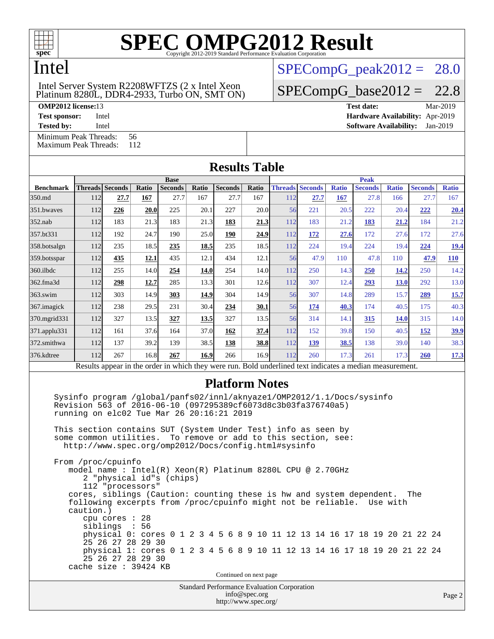

#### Intel

#### Platinum 8280L, DDR4-2933, Turbo ON, SMT ON) Intel Server System R2208WFTZS (2 x Intel Xeon

[Minimum Peak Threads:](http://www.spec.org/auto/omp2012/Docs/result-fields.html#MinimumPeakThreads) 56<br>Maximum Peak Threads: 112

[Maximum Peak Threads:](http://www.spec.org/auto/omp2012/Docs/result-fields.html#MaximumPeakThreads)

 $SPECompG_peak2012 = 28.0$  $SPECompG_peak2012 = 28.0$ 

 $SPECompG_base2012 = 22.8$  $SPECompG_base2012 = 22.8$ 

**[OMP2012 license:](http://www.spec.org/auto/omp2012/Docs/result-fields.html#OMP2012license)**13 **[Test date:](http://www.spec.org/auto/omp2012/Docs/result-fields.html#Testdate)** Mar-2019 **[Test sponsor:](http://www.spec.org/auto/omp2012/Docs/result-fields.html#Testsponsor)** Intel **[Hardware Availability:](http://www.spec.org/auto/omp2012/Docs/result-fields.html#HardwareAvailability)** Apr-2019

**[Tested by:](http://www.spec.org/auto/omp2012/Docs/result-fields.html#Testedby)** Intel **[Software Availability:](http://www.spec.org/auto/omp2012/Docs/result-fields.html#SoftwareAvailability)** Jan-2019

|                         |             |                                                                                                                                                                                                                                                                                       |       |                |       | <b>Results Table</b>  |       |     |                        |              |                |              |                                                                            |              |  |
|-------------------------|-------------|---------------------------------------------------------------------------------------------------------------------------------------------------------------------------------------------------------------------------------------------------------------------------------------|-------|----------------|-------|-----------------------|-------|-----|------------------------|--------------|----------------|--------------|----------------------------------------------------------------------------|--------------|--|
|                         | <b>Base</b> |                                                                                                                                                                                                                                                                                       |       |                |       |                       |       |     | <b>Peak</b>            |              |                |              |                                                                            |              |  |
| <b>Benchmark</b>        |             | Threads Seconds                                                                                                                                                                                                                                                                       | Ratio | <b>Seconds</b> | Ratio | <b>Seconds</b>        | Ratio |     | <b>Threads Seconds</b> | <b>Ratio</b> | <b>Seconds</b> | <b>Ratio</b> | <b>Seconds</b>                                                             | <b>Ratio</b> |  |
| 350.md                  | 112         | 27.7                                                                                                                                                                                                                                                                                  | 167   | 27.7           | 167   | 27.7                  | 167   | 112 | 27.7                   | 167          | 27.8           | 166          | 27.7                                                                       | 167          |  |
| 351.bwaves              | 112         | 226                                                                                                                                                                                                                                                                                   | 20.0  | 225            | 20.1  | 227                   | 20.0  | 56  | 221                    | 20.5         | 222            | 20.4         | 222                                                                        | 20.4         |  |
| $352$ .nab              | 112         | 183                                                                                                                                                                                                                                                                                   | 21.3  | 183            | 21.3  | 183                   | 21.3  | 112 | 183                    | 21.2         | 183            | 21.2         | 184                                                                        | 21.2         |  |
| 357.bt331               | 112         | 192                                                                                                                                                                                                                                                                                   | 24.7  | 190            | 25.0  | 190                   | 24.9  | 112 | 172                    | 27.6         | 172            | 27.6         | 172                                                                        | 27.6         |  |
| 358.botsalgn            | 112         | 235                                                                                                                                                                                                                                                                                   | 18.5  | 235            | 18.5  | 235                   | 18.5  | 112 | 224                    | 19.4         | 224            | 19.4         | 224                                                                        | <b>19.4</b>  |  |
| 359.botsspar            | 112         | 435                                                                                                                                                                                                                                                                                   | 12.1  | 435            | 12.1  | 434                   | 12.1  | 56  | 47.9                   | 110          | 47.8           | 110          | 47.9                                                                       | 110          |  |
| 360.ilbdc               | 112         | 255                                                                                                                                                                                                                                                                                   | 14.0  | 254            | 14.0  | 254                   | 14.0  | 112 | 250                    | 14.3         | 250            | 14.2         | 250                                                                        | 14.2         |  |
| 362.fma3d               | 112         | 298                                                                                                                                                                                                                                                                                   | 12.7  | 285            | 13.3  | 301                   | 12.6  | 112 | 307                    | 12.4         | 293            | 13.0         | 292                                                                        | 13.0         |  |
| $363$ .swim             | 112         | 303                                                                                                                                                                                                                                                                                   | 14.9  | 303            | 14.9  | 304                   | 14.9  | 56  | 307                    | 14.8         | 289            | 15.7         | 289                                                                        | 15.7         |  |
| 367.imagick             | 112         | 238                                                                                                                                                                                                                                                                                   | 29.5  | 231            | 30.4  | 234                   | 30.1  | 56  | <b>174</b>             | 40.3         | 174            | 40.5         | 175                                                                        | 40.3         |  |
| 370.mgrid331            | 112         | 327                                                                                                                                                                                                                                                                                   | 13.5  | 327            | 13.5  | 327                   | 13.5  | 56  | 314                    | 14.1         | 315            | <b>14.0</b>  | 315                                                                        | 14.0         |  |
| $ 371 \text{.applu}331$ | 112         | 161                                                                                                                                                                                                                                                                                   | 37.6  | 164            | 37.0  | 162                   | 37.4  | 112 | 152                    | 39.8         | 150            | 40.5         | <b>152</b>                                                                 | 39.9         |  |
| 372.smithwa             | 112         | 137                                                                                                                                                                                                                                                                                   | 39.2  | 139            | 38.5  | 138                   | 38.8  | 112 | 139                    | 38.5         | 138            | 39.0         | 140                                                                        | 38.3         |  |
| 376.kdtree              | 112         | 267                                                                                                                                                                                                                                                                                   | 16.8  | 267            | 16.9  | 266                   | 16.9  | 112 | 260                    | 17.3         | 261            | 17.3         | 260                                                                        | 17.3         |  |
|                         |             | Results appear in the order in which they were run. Bold underlined text indicates a median measurement.                                                                                                                                                                              |       |                |       |                       |       |     |                        |              |                |              |                                                                            |              |  |
|                         |             | Sysinfo program /global/panfs02/innl/aknyaze1/OMP2012/1.1/Docs/sysinfo<br>Revision 563 of 2016-06-10 (097295389cf6073d8c3b03fa376740a5)<br>running on elc02 Tue Mar 26 20:16:21 2019                                                                                                  |       |                |       | <b>Platform Notes</b> |       |     |                        |              |                |              |                                                                            |              |  |
|                         |             | This section contains SUT (System Under Test) info as seen by<br>some common utilities. To remove or add to this section, see:<br>http://www.spec.org/omp2012/Docs/config.html#sysinfo<br>From /proc/cpuinfo                                                                          |       |                |       |                       |       |     |                        |              |                |              |                                                                            |              |  |
|                         | caution.)   | model name : Intel(R) Xeon(R) Platinum 8280L CPU @ 2.70GHz<br>2 "physical id"s (chips)<br>112 "processors"<br>cores, siblings (Caution: counting these is hw and system dependent.<br>following excerpts from /proc/cpuinfo might not be reliable.<br>cpu cores : 28<br>siblings : 56 |       |                |       |                       |       |     |                        |              |                | Use with     | The                                                                        |              |  |
|                         |             |                                                                                                                                                                                                                                                                                       |       |                |       |                       |       |     |                        |              |                |              | physical 0: cores 0 1 2 3 4 5 6 8 9 10 11 12 13 14 16 17 18 19 20 21 22 24 |              |  |

#### 25 26 27 28 29 30 physical 1: cores 0 1 2 3 4 5 6 8 9 10 11 12 13 14 16 17 18 19 20 21 22 24 25 26 27 28 29 30 cache size : 39424 KB

Continued on next page

Standard Performance Evaluation Corporation [info@spec.org](mailto:info@spec.org) <http://www.spec.org/>

Page 2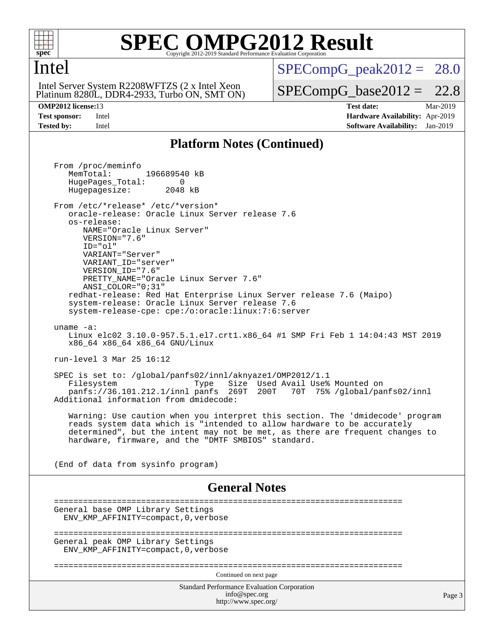

#### **[SPEC OMPG2012 Result](http://www.spec.org/auto/omp2012/Docs/result-fields.html#SPECOMPG2012Result)** Copyright 2012-2019 Standard Performance Evaluation

#### Intel

Platinum 8280L, DDR4-2933, Turbo ON, SMT ON) Intel Server System R2208WFTZS (2 x Intel Xeon

 $SPECompG<sub>peak2012</sub> = 28.0$ 

 $SPECompG_base2012 = 22.8$  $SPECompG_base2012 = 22.8$ 

**[OMP2012 license:](http://www.spec.org/auto/omp2012/Docs/result-fields.html#OMP2012license)**13 **[Test date:](http://www.spec.org/auto/omp2012/Docs/result-fields.html#Testdate)** Mar-2019 **[Test sponsor:](http://www.spec.org/auto/omp2012/Docs/result-fields.html#Testsponsor)** Intel **[Hardware Availability:](http://www.spec.org/auto/omp2012/Docs/result-fields.html#HardwareAvailability)** Apr-2019 **[Tested by:](http://www.spec.org/auto/omp2012/Docs/result-fields.html#Testedby)** Intel **[Software Availability:](http://www.spec.org/auto/omp2012/Docs/result-fields.html#SoftwareAvailability)** Jan-2019

#### **[Platform Notes \(Continued\)](http://www.spec.org/auto/omp2012/Docs/result-fields.html#PlatformNotes)**

Standard Performance Evaluation Corporation [info@spec.org](mailto:info@spec.org) <http://www.spec.org/> Page 3 From /proc/meminfo MemTotal: 196689540 kB HugePages\_Total: 0<br>Hugepagesize: 2048 kB Hugepagesize: From /etc/\*release\* /etc/\*version\* oracle-release: Oracle Linux Server release 7.6 os-release: NAME="Oracle Linux Server" VERSION="7.6" ID="ol" VARIANT="Server" VARIANT\_ID="server" VERSION\_ID="7.6" PRETTY\_NAME="Oracle Linux Server 7.6" ANSI\_COLOR="0;31" redhat-release: Red Hat Enterprise Linux Server release 7.6 (Maipo) system-release: Oracle Linux Server release 7.6 system-release-cpe: cpe:/o:oracle:linux:7:6:server uname -a: Linux elc02 3.10.0-957.5.1.el7.crt1.x86\_64 #1 SMP Fri Feb 1 14:04:43 MST 2019 x86\_64 x86\_64 x86\_64 GNU/Linux run-level 3 Mar 25 16:12 SPEC is set to: /global/panfs02/innl/aknyaze1/OMP2012/1.1 Type Size Used Avail Use% Mounted on panfs://36.101.212.1/innl panfs 269T 200T 70T 75% /global/panfs02/innl Additional information from dmidecode: Warning: Use caution when you interpret this section. The 'dmidecode' program reads system data which is "intended to allow hardware to be accurately determined", but the intent may not be met, as there are frequent changes to hardware, firmware, and the "DMTF SMBIOS" standard. (End of data from sysinfo program) **[General Notes](http://www.spec.org/auto/omp2012/Docs/result-fields.html#GeneralNotes)** ======================================================================== General base OMP Library Settings ENV\_KMP\_AFFINITY=compact,0,verbose ======================================================================== General peak OMP Library Settings ENV\_KMP\_AFFINITY=compact,0,verbose ======================================================================== Continued on next page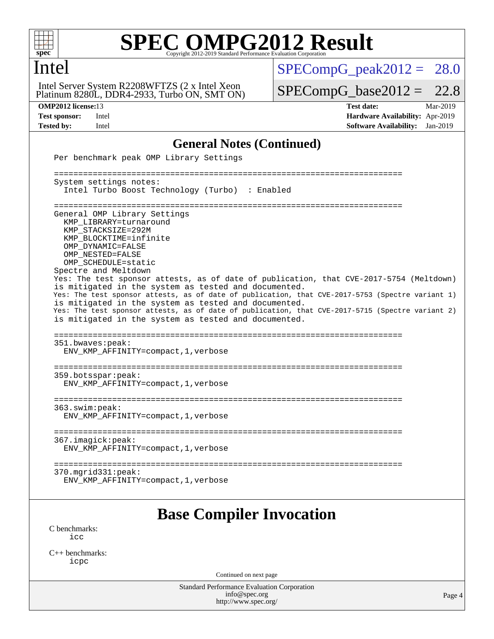

## Intel

Platinum 8280L, DDR4-2933, Turbo ON, SMT ON) Intel Server System R2208WFTZS (2 x Intel Xeon

 $SPECompG_peak2012 = 28.0$  $SPECompG_peak2012 = 28.0$ 

 $SPECompG_base2012 = 22.8$  $SPECompG_base2012 = 22.8$ 

**[OMP2012 license:](http://www.spec.org/auto/omp2012/Docs/result-fields.html#OMP2012license)**13 **[Test date:](http://www.spec.org/auto/omp2012/Docs/result-fields.html#Testdate)** Mar-2019 **[Test sponsor:](http://www.spec.org/auto/omp2012/Docs/result-fields.html#Testsponsor)** Intel **[Hardware Availability:](http://www.spec.org/auto/omp2012/Docs/result-fields.html#HardwareAvailability)** Apr-2019 **[Tested by:](http://www.spec.org/auto/omp2012/Docs/result-fields.html#Testedby)** Intel **[Software Availability:](http://www.spec.org/auto/omp2012/Docs/result-fields.html#SoftwareAvailability)** Jan-2019

#### **[General Notes \(Continued\)](http://www.spec.org/auto/omp2012/Docs/result-fields.html#GeneralNotes)**

| Per benchmark peak OMP Library Settings                                                                                                                                                                                                                                                                                                                                                                                                                                                                                                                                                                                                                                   |        |
|---------------------------------------------------------------------------------------------------------------------------------------------------------------------------------------------------------------------------------------------------------------------------------------------------------------------------------------------------------------------------------------------------------------------------------------------------------------------------------------------------------------------------------------------------------------------------------------------------------------------------------------------------------------------------|--------|
| System settings notes:<br>Intel Turbo Boost Technology (Turbo) : Enabled                                                                                                                                                                                                                                                                                                                                                                                                                                                                                                                                                                                                  |        |
| General OMP Library Settings<br>KMP LIBRARY=turnaround<br>KMP STACKSIZE=292M<br>KMP BLOCKTIME=infinite<br>OMP DYNAMIC=FALSE<br>OMP NESTED=FALSE<br>OMP_SCHEDULE=static<br>Spectre and Meltdown<br>Yes: The test sponsor attests, as of date of publication, that CVE-2017-5754 (Meltdown)<br>is mitigated in the system as tested and documented.<br>Yes: The test sponsor attests, as of date of publication, that CVE-2017-5753 (Spectre variant 1)<br>is mitigated in the system as tested and documented.<br>Yes: The test sponsor attests, as of date of publication, that CVE-2017-5715 (Spectre variant 2)<br>is mitigated in the system as tested and documented. |        |
| =======================<br>351.bwaves:peak:<br>ENV_KMP_AFFINITY=compact, 1, verbose                                                                                                                                                                                                                                                                                                                                                                                                                                                                                                                                                                                       |        |
| 359.botsspar:peak:<br>ENV_KMP_AFFINITY=compact, 1, verbose                                                                                                                                                                                                                                                                                                                                                                                                                                                                                                                                                                                                                |        |
| ==========================<br>363.swin:peak:<br>ENV_KMP_AFFINITY=compact, 1, verbose                                                                                                                                                                                                                                                                                                                                                                                                                                                                                                                                                                                      |        |
| 367.imagick:peak:<br>ENV_KMP_AFFINITY=compact, 1, verbose                                                                                                                                                                                                                                                                                                                                                                                                                                                                                                                                                                                                                 |        |
| $370.\text{mgrid}331:\text{peak}:$<br>ENV_KMP_AFFINITY=compact, 1, verbose                                                                                                                                                                                                                                                                                                                                                                                                                                                                                                                                                                                                |        |
| <b>Base Compiler Invocation</b>                                                                                                                                                                                                                                                                                                                                                                                                                                                                                                                                                                                                                                           |        |
| C benchmarks:<br>icc                                                                                                                                                                                                                                                                                                                                                                                                                                                                                                                                                                                                                                                      |        |
| $C_{++}$ benchmarks:<br>icpc                                                                                                                                                                                                                                                                                                                                                                                                                                                                                                                                                                                                                                              |        |
| Continued on next page                                                                                                                                                                                                                                                                                                                                                                                                                                                                                                                                                                                                                                                    |        |
| Standard Performance Evaluation Corporation<br>info@spec.org<br>http://www.spec.org/                                                                                                                                                                                                                                                                                                                                                                                                                                                                                                                                                                                      | Page 4 |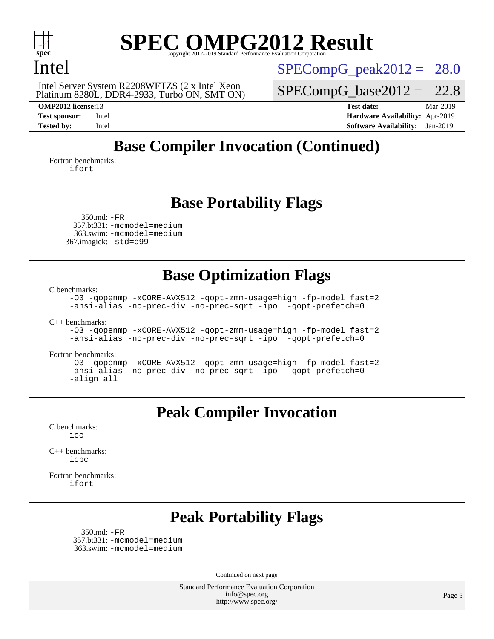

#### Intel

Platinum 8280L, DDR4-2933, Turbo ON, SMT ON) Intel Server System R2208WFTZS (2 x Intel Xeon

 $SPECompG<sub>peak2012</sub> = 28.0$ 

 $SPECompG_base2012 = 22.8$  $SPECompG_base2012 = 22.8$ 

**[OMP2012 license:](http://www.spec.org/auto/omp2012/Docs/result-fields.html#OMP2012license)**13 **[Test date:](http://www.spec.org/auto/omp2012/Docs/result-fields.html#Testdate)** Mar-2019 **[Test sponsor:](http://www.spec.org/auto/omp2012/Docs/result-fields.html#Testsponsor)** Intel **[Hardware Availability:](http://www.spec.org/auto/omp2012/Docs/result-fields.html#HardwareAvailability)** Apr-2019 **[Tested by:](http://www.spec.org/auto/omp2012/Docs/result-fields.html#Testedby)** Intel **[Software Availability:](http://www.spec.org/auto/omp2012/Docs/result-fields.html#SoftwareAvailability)** Jan-2019

## **[Base Compiler Invocation \(Continued\)](http://www.spec.org/auto/omp2012/Docs/result-fields.html#BaseCompilerInvocation)**

[Fortran benchmarks](http://www.spec.org/auto/omp2012/Docs/result-fields.html#Fortranbenchmarks): [ifort](http://www.spec.org/omp2012/results/res2019q2/omp2012-20190327-00178.flags.html#user_FCbase_intel_ifort_8a5e5e06b19a251bdeaf8fdab5d62f20)

#### **[Base Portability Flags](http://www.spec.org/auto/omp2012/Docs/result-fields.html#BasePortabilityFlags)**

 350.md: [-FR](http://www.spec.org/omp2012/results/res2019q2/omp2012-20190327-00178.flags.html#user_baseFPORTABILITY350_md_f-FR) 357.bt331: [-mcmodel=medium](http://www.spec.org/omp2012/results/res2019q2/omp2012-20190327-00178.flags.html#user_basePORTABILITY357_bt331_f-mcmodel_3a41622424bdd074c4f0f2d2f224c7e5) 363.swim: [-mcmodel=medium](http://www.spec.org/omp2012/results/res2019q2/omp2012-20190327-00178.flags.html#user_basePORTABILITY363_swim_f-mcmodel_3a41622424bdd074c4f0f2d2f224c7e5) 367.imagick: [-std=c99](http://www.spec.org/omp2012/results/res2019q2/omp2012-20190327-00178.flags.html#user_baseCPORTABILITY367_imagick_f-std_2ec6533b6e06f1c4a6c9b78d9e9cde24)

### **[Base Optimization Flags](http://www.spec.org/auto/omp2012/Docs/result-fields.html#BaseOptimizationFlags)**

[C benchmarks](http://www.spec.org/auto/omp2012/Docs/result-fields.html#Cbenchmarks):

[-O3](http://www.spec.org/omp2012/results/res2019q2/omp2012-20190327-00178.flags.html#user_CCbase_f-O3) [-qopenmp](http://www.spec.org/omp2012/results/res2019q2/omp2012-20190327-00178.flags.html#user_CCbase_f-qopenmp) [-xCORE-AVX512](http://www.spec.org/omp2012/results/res2019q2/omp2012-20190327-00178.flags.html#user_CCbase_f-xCORE-AVX512) [-qopt-zmm-usage=high](http://www.spec.org/omp2012/results/res2019q2/omp2012-20190327-00178.flags.html#user_CCbase_f-qopt-zmm-usage_213d857421e75f2db2f896f7900465fb) [-fp-model fast=2](http://www.spec.org/omp2012/results/res2019q2/omp2012-20190327-00178.flags.html#user_CCbase_f-fp-model_a7fb8ccb7275e23f0079632c153cfcab) [-ansi-alias](http://www.spec.org/omp2012/results/res2019q2/omp2012-20190327-00178.flags.html#user_CCbase_f-ansi-alias) [-no-prec-div](http://www.spec.org/omp2012/results/res2019q2/omp2012-20190327-00178.flags.html#user_CCbase_f-no-prec-div) [-no-prec-sqrt](http://www.spec.org/omp2012/results/res2019q2/omp2012-20190327-00178.flags.html#user_CCbase_f-no-prec-sqrt) [-ipo](http://www.spec.org/omp2012/results/res2019q2/omp2012-20190327-00178.flags.html#user_CCbase_f-ipo_84062ab53814f613187d02344b8f49a7) [-qopt-prefetch=0](http://www.spec.org/omp2012/results/res2019q2/omp2012-20190327-00178.flags.html#user_CCbase_f-qopt-prefetch_ce172c705aa924d14c76f32fff3f4886)

[C++ benchmarks:](http://www.spec.org/auto/omp2012/Docs/result-fields.html#CXXbenchmarks)

[-O3](http://www.spec.org/omp2012/results/res2019q2/omp2012-20190327-00178.flags.html#user_CXXbase_f-O3) [-qopenmp](http://www.spec.org/omp2012/results/res2019q2/omp2012-20190327-00178.flags.html#user_CXXbase_f-qopenmp) [-xCORE-AVX512](http://www.spec.org/omp2012/results/res2019q2/omp2012-20190327-00178.flags.html#user_CXXbase_f-xCORE-AVX512) [-qopt-zmm-usage=high](http://www.spec.org/omp2012/results/res2019q2/omp2012-20190327-00178.flags.html#user_CXXbase_f-qopt-zmm-usage_213d857421e75f2db2f896f7900465fb) [-fp-model fast=2](http://www.spec.org/omp2012/results/res2019q2/omp2012-20190327-00178.flags.html#user_CXXbase_f-fp-model_a7fb8ccb7275e23f0079632c153cfcab) [-ansi-alias](http://www.spec.org/omp2012/results/res2019q2/omp2012-20190327-00178.flags.html#user_CXXbase_f-ansi-alias) [-no-prec-div](http://www.spec.org/omp2012/results/res2019q2/omp2012-20190327-00178.flags.html#user_CXXbase_f-no-prec-div) [-no-prec-sqrt](http://www.spec.org/omp2012/results/res2019q2/omp2012-20190327-00178.flags.html#user_CXXbase_f-no-prec-sqrt) [-ipo](http://www.spec.org/omp2012/results/res2019q2/omp2012-20190327-00178.flags.html#user_CXXbase_f-ipo_84062ab53814f613187d02344b8f49a7) [-qopt-prefetch=0](http://www.spec.org/omp2012/results/res2019q2/omp2012-20190327-00178.flags.html#user_CXXbase_f-qopt-prefetch_ce172c705aa924d14c76f32fff3f4886)

[Fortran benchmarks](http://www.spec.org/auto/omp2012/Docs/result-fields.html#Fortranbenchmarks):

[-O3](http://www.spec.org/omp2012/results/res2019q2/omp2012-20190327-00178.flags.html#user_FCbase_f-O3) [-qopenmp](http://www.spec.org/omp2012/results/res2019q2/omp2012-20190327-00178.flags.html#user_FCbase_f-qopenmp) [-xCORE-AVX512](http://www.spec.org/omp2012/results/res2019q2/omp2012-20190327-00178.flags.html#user_FCbase_f-xCORE-AVX512) [-qopt-zmm-usage=high](http://www.spec.org/omp2012/results/res2019q2/omp2012-20190327-00178.flags.html#user_FCbase_f-qopt-zmm-usage_213d857421e75f2db2f896f7900465fb) [-fp-model fast=2](http://www.spec.org/omp2012/results/res2019q2/omp2012-20190327-00178.flags.html#user_FCbase_f-fp-model_a7fb8ccb7275e23f0079632c153cfcab) [-ansi-alias](http://www.spec.org/omp2012/results/res2019q2/omp2012-20190327-00178.flags.html#user_FCbase_f-ansi-alias) [-no-prec-div](http://www.spec.org/omp2012/results/res2019q2/omp2012-20190327-00178.flags.html#user_FCbase_f-no-prec-div) [-no-prec-sqrt](http://www.spec.org/omp2012/results/res2019q2/omp2012-20190327-00178.flags.html#user_FCbase_f-no-prec-sqrt) [-ipo](http://www.spec.org/omp2012/results/res2019q2/omp2012-20190327-00178.flags.html#user_FCbase_f-ipo_84062ab53814f613187d02344b8f49a7) [-qopt-prefetch=0](http://www.spec.org/omp2012/results/res2019q2/omp2012-20190327-00178.flags.html#user_FCbase_f-qopt-prefetch_ce172c705aa924d14c76f32fff3f4886) [-align all](http://www.spec.org/omp2012/results/res2019q2/omp2012-20190327-00178.flags.html#user_FCbase_f-align_1ebfa66158b49aff21b037afc4046011)

#### **[Peak Compiler Invocation](http://www.spec.org/auto/omp2012/Docs/result-fields.html#PeakCompilerInvocation)**

[C benchmarks](http://www.spec.org/auto/omp2012/Docs/result-fields.html#Cbenchmarks): [icc](http://www.spec.org/omp2012/results/res2019q2/omp2012-20190327-00178.flags.html#user_CCpeak_intel_icc_a87c68a857bc5ec5362391a49d3a37a6)

[C++ benchmarks:](http://www.spec.org/auto/omp2012/Docs/result-fields.html#CXXbenchmarks) [icpc](http://www.spec.org/omp2012/results/res2019q2/omp2012-20190327-00178.flags.html#user_CXXpeak_intel_icpc_2d899f8d163502b12eb4a60069f80c1c)

[Fortran benchmarks](http://www.spec.org/auto/omp2012/Docs/result-fields.html#Fortranbenchmarks): [ifort](http://www.spec.org/omp2012/results/res2019q2/omp2012-20190327-00178.flags.html#user_FCpeak_intel_ifort_8a5e5e06b19a251bdeaf8fdab5d62f20)

### **[Peak Portability Flags](http://www.spec.org/auto/omp2012/Docs/result-fields.html#PeakPortabilityFlags)**

 350.md: [-FR](http://www.spec.org/omp2012/results/res2019q2/omp2012-20190327-00178.flags.html#user_peakFPORTABILITY350_md_f-FR) 357.bt331: [-mcmodel=medium](http://www.spec.org/omp2012/results/res2019q2/omp2012-20190327-00178.flags.html#user_peakPORTABILITY357_bt331_f-mcmodel_3a41622424bdd074c4f0f2d2f224c7e5) 363.swim: [-mcmodel=medium](http://www.spec.org/omp2012/results/res2019q2/omp2012-20190327-00178.flags.html#user_peakPORTABILITY363_swim_f-mcmodel_3a41622424bdd074c4f0f2d2f224c7e5)

Continued on next page

Standard Performance Evaluation Corporation [info@spec.org](mailto:info@spec.org) <http://www.spec.org/>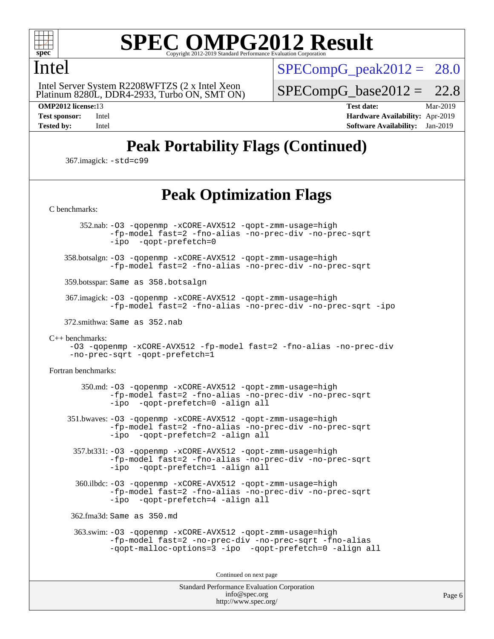

#### Intel

 Platinum 8280L, DDR4-2933, Turbo ON, SMT ON) Intel Server System R2208WFTZS (2 x Intel Xeon

 $SPECompG<sub>peak2012</sub> = 28.0$ 

 $SPECompG_base2012 = 22.8$  $SPECompG_base2012 = 22.8$ 

**[OMP2012 license:](http://www.spec.org/auto/omp2012/Docs/result-fields.html#OMP2012license)**13 **[Test date:](http://www.spec.org/auto/omp2012/Docs/result-fields.html#Testdate)** Mar-2019 **[Test sponsor:](http://www.spec.org/auto/omp2012/Docs/result-fields.html#Testsponsor)** Intel **[Hardware Availability:](http://www.spec.org/auto/omp2012/Docs/result-fields.html#HardwareAvailability)** Apr-2019 **[Tested by:](http://www.spec.org/auto/omp2012/Docs/result-fields.html#Testedby)** Intel **[Software Availability:](http://www.spec.org/auto/omp2012/Docs/result-fields.html#SoftwareAvailability)** Jan-2019

## **[Peak Portability Flags \(Continued\)](http://www.spec.org/auto/omp2012/Docs/result-fields.html#PeakPortabilityFlags)**

367.imagick: [-std=c99](http://www.spec.org/omp2012/results/res2019q2/omp2012-20190327-00178.flags.html#user_peakCPORTABILITY367_imagick_f-std_2ec6533b6e06f1c4a6c9b78d9e9cde24)

## **[Peak Optimization Flags](http://www.spec.org/auto/omp2012/Docs/result-fields.html#PeakOptimizationFlags)**

Standard Performance Evaluation Corporation [info@spec.org](mailto:info@spec.org) [C benchmarks](http://www.spec.org/auto/omp2012/Docs/result-fields.html#Cbenchmarks): 352.nab: [-O3](http://www.spec.org/omp2012/results/res2019q2/omp2012-20190327-00178.flags.html#user_peakOPTIMIZE352_nab_f-O3) [-qopenmp](http://www.spec.org/omp2012/results/res2019q2/omp2012-20190327-00178.flags.html#user_peakOPTIMIZE352_nab_f-qopenmp) [-xCORE-AVX512](http://www.spec.org/omp2012/results/res2019q2/omp2012-20190327-00178.flags.html#user_peakOPTIMIZE352_nab_f-xCORE-AVX512) [-qopt-zmm-usage=high](http://www.spec.org/omp2012/results/res2019q2/omp2012-20190327-00178.flags.html#user_peakOPTIMIZE352_nab_f-qopt-zmm-usage_213d857421e75f2db2f896f7900465fb) [-fp-model fast=2](http://www.spec.org/omp2012/results/res2019q2/omp2012-20190327-00178.flags.html#user_peakOPTIMIZE352_nab_f-fp-model_a7fb8ccb7275e23f0079632c153cfcab) [-fno-alias](http://www.spec.org/omp2012/results/res2019q2/omp2012-20190327-00178.flags.html#user_peakOPTIMIZE352_nab_f-no-alias_694e77f6c5a51e658e82ccff53a9e63a) [-no-prec-div](http://www.spec.org/omp2012/results/res2019q2/omp2012-20190327-00178.flags.html#user_peakOPTIMIZE352_nab_f-no-prec-div) [-no-prec-sqrt](http://www.spec.org/omp2012/results/res2019q2/omp2012-20190327-00178.flags.html#user_peakOPTIMIZE352_nab_f-no-prec-sqrt) [-ipo](http://www.spec.org/omp2012/results/res2019q2/omp2012-20190327-00178.flags.html#user_peakOPTIMIZE352_nab_f-ipo_84062ab53814f613187d02344b8f49a7) [-qopt-prefetch=0](http://www.spec.org/omp2012/results/res2019q2/omp2012-20190327-00178.flags.html#user_peakOPTIMIZE352_nab_f-qopt-prefetch_ce172c705aa924d14c76f32fff3f4886) 358.botsalgn: [-O3](http://www.spec.org/omp2012/results/res2019q2/omp2012-20190327-00178.flags.html#user_peakOPTIMIZE358_botsalgn_f-O3) [-qopenmp](http://www.spec.org/omp2012/results/res2019q2/omp2012-20190327-00178.flags.html#user_peakOPTIMIZE358_botsalgn_f-qopenmp) [-xCORE-AVX512](http://www.spec.org/omp2012/results/res2019q2/omp2012-20190327-00178.flags.html#user_peakOPTIMIZE358_botsalgn_f-xCORE-AVX512) [-qopt-zmm-usage=high](http://www.spec.org/omp2012/results/res2019q2/omp2012-20190327-00178.flags.html#user_peakOPTIMIZE358_botsalgn_f-qopt-zmm-usage_213d857421e75f2db2f896f7900465fb) [-fp-model fast=2](http://www.spec.org/omp2012/results/res2019q2/omp2012-20190327-00178.flags.html#user_peakOPTIMIZE358_botsalgn_f-fp-model_a7fb8ccb7275e23f0079632c153cfcab) [-fno-alias](http://www.spec.org/omp2012/results/res2019q2/omp2012-20190327-00178.flags.html#user_peakOPTIMIZE358_botsalgn_f-no-alias_694e77f6c5a51e658e82ccff53a9e63a) [-no-prec-div](http://www.spec.org/omp2012/results/res2019q2/omp2012-20190327-00178.flags.html#user_peakOPTIMIZE358_botsalgn_f-no-prec-div) [-no-prec-sqrt](http://www.spec.org/omp2012/results/res2019q2/omp2012-20190327-00178.flags.html#user_peakOPTIMIZE358_botsalgn_f-no-prec-sqrt) 359.botsspar: Same as 358.botsalgn 367.imagick: [-O3](http://www.spec.org/omp2012/results/res2019q2/omp2012-20190327-00178.flags.html#user_peakOPTIMIZE367_imagick_f-O3) [-qopenmp](http://www.spec.org/omp2012/results/res2019q2/omp2012-20190327-00178.flags.html#user_peakOPTIMIZE367_imagick_f-qopenmp) [-xCORE-AVX512](http://www.spec.org/omp2012/results/res2019q2/omp2012-20190327-00178.flags.html#user_peakOPTIMIZE367_imagick_f-xCORE-AVX512) [-qopt-zmm-usage=high](http://www.spec.org/omp2012/results/res2019q2/omp2012-20190327-00178.flags.html#user_peakOPTIMIZE367_imagick_f-qopt-zmm-usage_213d857421e75f2db2f896f7900465fb) [-fp-model fast=2](http://www.spec.org/omp2012/results/res2019q2/omp2012-20190327-00178.flags.html#user_peakOPTIMIZE367_imagick_f-fp-model_a7fb8ccb7275e23f0079632c153cfcab) [-fno-alias](http://www.spec.org/omp2012/results/res2019q2/omp2012-20190327-00178.flags.html#user_peakOPTIMIZE367_imagick_f-no-alias_694e77f6c5a51e658e82ccff53a9e63a) [-no-prec-div](http://www.spec.org/omp2012/results/res2019q2/omp2012-20190327-00178.flags.html#user_peakOPTIMIZE367_imagick_f-no-prec-div) [-no-prec-sqrt](http://www.spec.org/omp2012/results/res2019q2/omp2012-20190327-00178.flags.html#user_peakOPTIMIZE367_imagick_f-no-prec-sqrt) [-ipo](http://www.spec.org/omp2012/results/res2019q2/omp2012-20190327-00178.flags.html#user_peakOPTIMIZE367_imagick_f-ipo) 372.smithwa: Same as 352.nab [C++ benchmarks:](http://www.spec.org/auto/omp2012/Docs/result-fields.html#CXXbenchmarks) [-O3](http://www.spec.org/omp2012/results/res2019q2/omp2012-20190327-00178.flags.html#user_CXXpeak_f-O3) [-qopenmp](http://www.spec.org/omp2012/results/res2019q2/omp2012-20190327-00178.flags.html#user_CXXpeak_f-qopenmp) [-xCORE-AVX512](http://www.spec.org/omp2012/results/res2019q2/omp2012-20190327-00178.flags.html#user_CXXpeak_f-xCORE-AVX512) [-fp-model fast=2](http://www.spec.org/omp2012/results/res2019q2/omp2012-20190327-00178.flags.html#user_CXXpeak_f-fp-model_a7fb8ccb7275e23f0079632c153cfcab) [-fno-alias](http://www.spec.org/omp2012/results/res2019q2/omp2012-20190327-00178.flags.html#user_CXXpeak_f-no-alias_694e77f6c5a51e658e82ccff53a9e63a) [-no-prec-div](http://www.spec.org/omp2012/results/res2019q2/omp2012-20190327-00178.flags.html#user_CXXpeak_f-no-prec-div) [-no-prec-sqrt](http://www.spec.org/omp2012/results/res2019q2/omp2012-20190327-00178.flags.html#user_CXXpeak_f-no-prec-sqrt) [-qopt-prefetch=1](http://www.spec.org/omp2012/results/res2019q2/omp2012-20190327-00178.flags.html#user_CXXpeak_f-qopt-prefetch_9097ad9b78e4401c727c33237ff25d7e) [Fortran benchmarks](http://www.spec.org/auto/omp2012/Docs/result-fields.html#Fortranbenchmarks): 350.md: [-O3](http://www.spec.org/omp2012/results/res2019q2/omp2012-20190327-00178.flags.html#user_peakOPTIMIZE350_md_f-O3) [-qopenmp](http://www.spec.org/omp2012/results/res2019q2/omp2012-20190327-00178.flags.html#user_peakOPTIMIZE350_md_f-qopenmp) [-xCORE-AVX512](http://www.spec.org/omp2012/results/res2019q2/omp2012-20190327-00178.flags.html#user_peakOPTIMIZE350_md_f-xCORE-AVX512) [-qopt-zmm-usage=high](http://www.spec.org/omp2012/results/res2019q2/omp2012-20190327-00178.flags.html#user_peakOPTIMIZE350_md_f-qopt-zmm-usage_213d857421e75f2db2f896f7900465fb) [-fp-model fast=2](http://www.spec.org/omp2012/results/res2019q2/omp2012-20190327-00178.flags.html#user_peakOPTIMIZE350_md_f-fp-model_a7fb8ccb7275e23f0079632c153cfcab) [-fno-alias](http://www.spec.org/omp2012/results/res2019q2/omp2012-20190327-00178.flags.html#user_peakOPTIMIZE350_md_f-no-alias_694e77f6c5a51e658e82ccff53a9e63a) [-no-prec-div](http://www.spec.org/omp2012/results/res2019q2/omp2012-20190327-00178.flags.html#user_peakOPTIMIZE350_md_f-no-prec-div) [-no-prec-sqrt](http://www.spec.org/omp2012/results/res2019q2/omp2012-20190327-00178.flags.html#user_peakOPTIMIZE350_md_f-no-prec-sqrt) [-ipo](http://www.spec.org/omp2012/results/res2019q2/omp2012-20190327-00178.flags.html#user_peakOPTIMIZE350_md_f-ipo_84062ab53814f613187d02344b8f49a7) [-qopt-prefetch=0](http://www.spec.org/omp2012/results/res2019q2/omp2012-20190327-00178.flags.html#user_peakOPTIMIZE350_md_f-qopt-prefetch_ce172c705aa924d14c76f32fff3f4886) [-align all](http://www.spec.org/omp2012/results/res2019q2/omp2012-20190327-00178.flags.html#user_peakFOPTIMIZE350_md_f-align_1ebfa66158b49aff21b037afc4046011) 351.bwaves: [-O3](http://www.spec.org/omp2012/results/res2019q2/omp2012-20190327-00178.flags.html#user_peakOPTIMIZE351_bwaves_f-O3) [-qopenmp](http://www.spec.org/omp2012/results/res2019q2/omp2012-20190327-00178.flags.html#user_peakOPTIMIZE351_bwaves_f-qopenmp) [-xCORE-AVX512](http://www.spec.org/omp2012/results/res2019q2/omp2012-20190327-00178.flags.html#user_peakOPTIMIZE351_bwaves_f-xCORE-AVX512) [-qopt-zmm-usage=high](http://www.spec.org/omp2012/results/res2019q2/omp2012-20190327-00178.flags.html#user_peakOPTIMIZE351_bwaves_f-qopt-zmm-usage_213d857421e75f2db2f896f7900465fb) [-fp-model fast=2](http://www.spec.org/omp2012/results/res2019q2/omp2012-20190327-00178.flags.html#user_peakOPTIMIZE351_bwaves_f-fp-model_a7fb8ccb7275e23f0079632c153cfcab) [-fno-alias](http://www.spec.org/omp2012/results/res2019q2/omp2012-20190327-00178.flags.html#user_peakOPTIMIZE351_bwaves_f-no-alias_694e77f6c5a51e658e82ccff53a9e63a) [-no-prec-div](http://www.spec.org/omp2012/results/res2019q2/omp2012-20190327-00178.flags.html#user_peakOPTIMIZE351_bwaves_f-no-prec-div) [-no-prec-sqrt](http://www.spec.org/omp2012/results/res2019q2/omp2012-20190327-00178.flags.html#user_peakOPTIMIZE351_bwaves_f-no-prec-sqrt) [-ipo](http://www.spec.org/omp2012/results/res2019q2/omp2012-20190327-00178.flags.html#user_peakOPTIMIZE351_bwaves_f-ipo_84062ab53814f613187d02344b8f49a7) [-qopt-prefetch=2](http://www.spec.org/omp2012/results/res2019q2/omp2012-20190327-00178.flags.html#user_peakOPTIMIZE351_bwaves_f-qopt-prefetch_5dd8eff5680869f15030b88dfb173050) [-align all](http://www.spec.org/omp2012/results/res2019q2/omp2012-20190327-00178.flags.html#user_peakFOPTIMIZE351_bwaves_f-align_1ebfa66158b49aff21b037afc4046011) 357.bt331: [-O3](http://www.spec.org/omp2012/results/res2019q2/omp2012-20190327-00178.flags.html#user_peakOPTIMIZE357_bt331_f-O3) [-qopenmp](http://www.spec.org/omp2012/results/res2019q2/omp2012-20190327-00178.flags.html#user_peakOPTIMIZE357_bt331_f-qopenmp) [-xCORE-AVX512](http://www.spec.org/omp2012/results/res2019q2/omp2012-20190327-00178.flags.html#user_peakOPTIMIZE357_bt331_f-xCORE-AVX512) [-qopt-zmm-usage=high](http://www.spec.org/omp2012/results/res2019q2/omp2012-20190327-00178.flags.html#user_peakOPTIMIZE357_bt331_f-qopt-zmm-usage_213d857421e75f2db2f896f7900465fb) [-fp-model fast=2](http://www.spec.org/omp2012/results/res2019q2/omp2012-20190327-00178.flags.html#user_peakOPTIMIZE357_bt331_f-fp-model_a7fb8ccb7275e23f0079632c153cfcab) [-fno-alias](http://www.spec.org/omp2012/results/res2019q2/omp2012-20190327-00178.flags.html#user_peakOPTIMIZE357_bt331_f-no-alias_694e77f6c5a51e658e82ccff53a9e63a) [-no-prec-div](http://www.spec.org/omp2012/results/res2019q2/omp2012-20190327-00178.flags.html#user_peakOPTIMIZE357_bt331_f-no-prec-div) [-no-prec-sqrt](http://www.spec.org/omp2012/results/res2019q2/omp2012-20190327-00178.flags.html#user_peakOPTIMIZE357_bt331_f-no-prec-sqrt) [-ipo](http://www.spec.org/omp2012/results/res2019q2/omp2012-20190327-00178.flags.html#user_peakOPTIMIZE357_bt331_f-ipo_84062ab53814f613187d02344b8f49a7) [-qopt-prefetch=1](http://www.spec.org/omp2012/results/res2019q2/omp2012-20190327-00178.flags.html#user_peakOPTIMIZE357_bt331_f-qopt-prefetch_9097ad9b78e4401c727c33237ff25d7e) [-align all](http://www.spec.org/omp2012/results/res2019q2/omp2012-20190327-00178.flags.html#user_peakFOPTIMIZE357_bt331_f-align_1ebfa66158b49aff21b037afc4046011) 360.ilbdc: [-O3](http://www.spec.org/omp2012/results/res2019q2/omp2012-20190327-00178.flags.html#user_peakOPTIMIZE360_ilbdc_f-O3) [-qopenmp](http://www.spec.org/omp2012/results/res2019q2/omp2012-20190327-00178.flags.html#user_peakOPTIMIZE360_ilbdc_f-qopenmp) [-xCORE-AVX512](http://www.spec.org/omp2012/results/res2019q2/omp2012-20190327-00178.flags.html#user_peakOPTIMIZE360_ilbdc_f-xCORE-AVX512) [-qopt-zmm-usage=high](http://www.spec.org/omp2012/results/res2019q2/omp2012-20190327-00178.flags.html#user_peakOPTIMIZE360_ilbdc_f-qopt-zmm-usage_213d857421e75f2db2f896f7900465fb) [-fp-model fast=2](http://www.spec.org/omp2012/results/res2019q2/omp2012-20190327-00178.flags.html#user_peakOPTIMIZE360_ilbdc_f-fp-model_a7fb8ccb7275e23f0079632c153cfcab) [-fno-alias](http://www.spec.org/omp2012/results/res2019q2/omp2012-20190327-00178.flags.html#user_peakOPTIMIZE360_ilbdc_f-no-alias_694e77f6c5a51e658e82ccff53a9e63a) [-no-prec-div](http://www.spec.org/omp2012/results/res2019q2/omp2012-20190327-00178.flags.html#user_peakOPTIMIZE360_ilbdc_f-no-prec-div) [-no-prec-sqrt](http://www.spec.org/omp2012/results/res2019q2/omp2012-20190327-00178.flags.html#user_peakOPTIMIZE360_ilbdc_f-no-prec-sqrt) [-ipo](http://www.spec.org/omp2012/results/res2019q2/omp2012-20190327-00178.flags.html#user_peakOPTIMIZE360_ilbdc_f-ipo_84062ab53814f613187d02344b8f49a7) [-qopt-prefetch=4](http://www.spec.org/omp2012/results/res2019q2/omp2012-20190327-00178.flags.html#user_peakOPTIMIZE360_ilbdc_f-qopt-prefetch_45f10e083f30a80e5aadab0211b1bca7) [-align all](http://www.spec.org/omp2012/results/res2019q2/omp2012-20190327-00178.flags.html#user_peakFOPTIMIZE360_ilbdc_f-align_1ebfa66158b49aff21b037afc4046011) 362.fma3d: Same as 350.md 363.swim: [-O3](http://www.spec.org/omp2012/results/res2019q2/omp2012-20190327-00178.flags.html#user_peakOPTIMIZE363_swim_f-O3) [-qopenmp](http://www.spec.org/omp2012/results/res2019q2/omp2012-20190327-00178.flags.html#user_peakOPTIMIZE363_swim_f-qopenmp) [-xCORE-AVX512](http://www.spec.org/omp2012/results/res2019q2/omp2012-20190327-00178.flags.html#user_peakOPTIMIZE363_swim_f-xCORE-AVX512) [-qopt-zmm-usage=high](http://www.spec.org/omp2012/results/res2019q2/omp2012-20190327-00178.flags.html#user_peakOPTIMIZE363_swim_f-qopt-zmm-usage_213d857421e75f2db2f896f7900465fb) [-fp-model fast=2](http://www.spec.org/omp2012/results/res2019q2/omp2012-20190327-00178.flags.html#user_peakOPTIMIZE363_swim_f-fp-model_a7fb8ccb7275e23f0079632c153cfcab) [-no-prec-div](http://www.spec.org/omp2012/results/res2019q2/omp2012-20190327-00178.flags.html#user_peakOPTIMIZE363_swim_f-no-prec-div) [-no-prec-sqrt](http://www.spec.org/omp2012/results/res2019q2/omp2012-20190327-00178.flags.html#user_peakOPTIMIZE363_swim_f-no-prec-sqrt) [-fno-alias](http://www.spec.org/omp2012/results/res2019q2/omp2012-20190327-00178.flags.html#user_peakOPTIMIZE363_swim_f-no-alias_694e77f6c5a51e658e82ccff53a9e63a) [-qopt-malloc-options=3](http://www.spec.org/omp2012/results/res2019q2/omp2012-20190327-00178.flags.html#user_peakOPTIMIZE363_swim_f-qopt-malloc-options_0fcb435012e78f27d57f473818e45fe4) [-ipo](http://www.spec.org/omp2012/results/res2019q2/omp2012-20190327-00178.flags.html#user_peakOPTIMIZE363_swim_f-ipo_84062ab53814f613187d02344b8f49a7) [-qopt-prefetch=0](http://www.spec.org/omp2012/results/res2019q2/omp2012-20190327-00178.flags.html#user_peakOPTIMIZE363_swim_f-qopt-prefetch_ce172c705aa924d14c76f32fff3f4886) [-align all](http://www.spec.org/omp2012/results/res2019q2/omp2012-20190327-00178.flags.html#user_peakFOPTIMIZE363_swim_f-align_1ebfa66158b49aff21b037afc4046011) Continued on next page

<http://www.spec.org/>